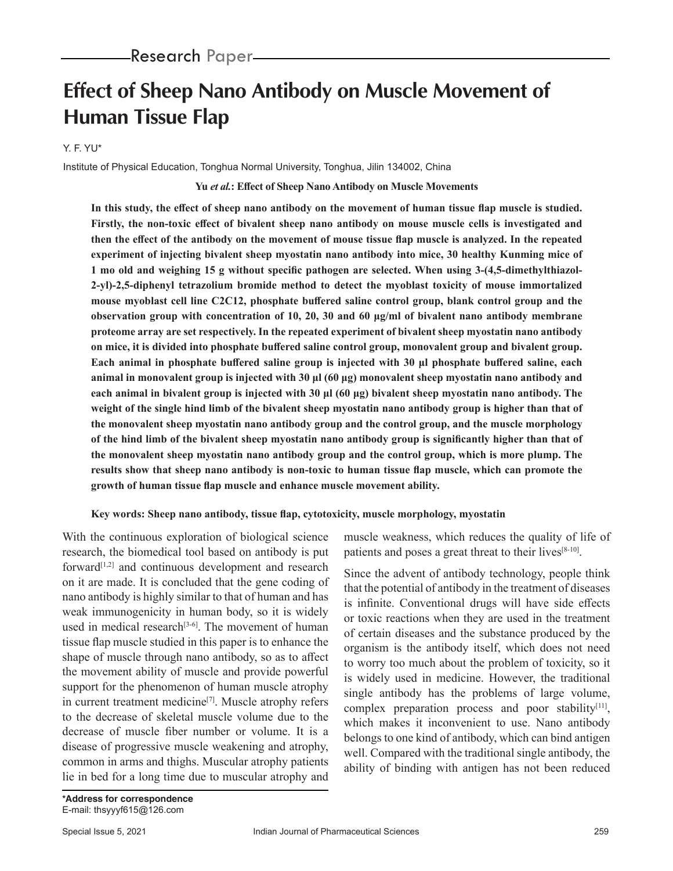# **Effect of Sheep Nano Antibody on Muscle Movement of Human Tissue Flap**

## Y. F. YU\*

Institute of Physical Education, Tonghua Normal University, Tonghua, Jilin 134002, China

## **Yu** *et al.***: Effect of Sheep Nano Antibody on Muscle Movements**

**In this study, the effect of sheep nano antibody on the movement of human tissue flap muscle is studied. Firstly, the non-toxic effect of bivalent sheep nano antibody on mouse muscle cells is investigated and then the effect of the antibody on the movement of mouse tissue flap muscle is analyzed. In the repeated experiment of injecting bivalent sheep myostatin nano antibody into mice, 30 healthy Kunming mice of 1 mo old and weighing 15 g without specific pathogen are selected. When using 3-(4,5-dimethylthiazol-2-yl)-2,5-diphenyl tetrazolium bromide method to detect the myoblast toxicity of mouse immortalized mouse myoblast cell line C2C12, phosphate buffered saline control group, blank control group and the observation group with concentration of 10, 20, 30 and 60 μg/ml of bivalent nano antibody membrane proteome array are set respectively. In the repeated experiment of bivalent sheep myostatin nano antibody on mice, it is divided into phosphate buffered saline control group, monovalent group and bivalent group. Each animal in phosphate buffered saline group is injected with 30 μl phosphate buffered saline, each animal in monovalent group is injected with 30 μl (60 μg) monovalent sheep myostatin nano antibody and each animal in bivalent group is injected with 30 μl (60 μg) bivalent sheep myostatin nano antibody. The weight of the single hind limb of the bivalent sheep myostatin nano antibody group is higher than that of the monovalent sheep myostatin nano antibody group and the control group, and the muscle morphology of the hind limb of the bivalent sheep myostatin nano antibody group is significantly higher than that of the monovalent sheep myostatin nano antibody group and the control group, which is more plump. The results show that sheep nano antibody is non-toxic to human tissue flap muscle, which can promote the growth of human tissue flap muscle and enhance muscle movement ability.**

### **Key words: Sheep nano antibody, tissue flap, cytotoxicity, muscle morphology, myostatin**

With the continuous exploration of biological science research, the biomedical tool based on antibody is put forward $[1,2]$  and continuous development and research on it are made. It is concluded that the gene coding of nano antibody is highly similar to that of human and has weak immunogenicity in human body, so it is widely used in medical research<sup>[3-6]</sup>. The movement of human tissue flap muscle studied in this paper is to enhance the shape of muscle through nano antibody, so as to affect the movement ability of muscle and provide powerful support for the phenomenon of human muscle atrophy in current treatment medicine<sup>[7]</sup>. Muscle atrophy refers to the decrease of skeletal muscle volume due to the decrease of muscle fiber number or volume. It is a disease of progressive muscle weakening and atrophy, common in arms and thighs. Muscular atrophy patients lie in bed for a long time due to muscular atrophy and

muscle weakness, which reduces the quality of life of patients and poses a great threat to their lives $[8-10]$ .

Since the advent of antibody technology, people think that the potential of antibody in the treatment of diseases is infinite. Conventional drugs will have side effects or toxic reactions when they are used in the treatment of certain diseases and the substance produced by the organism is the antibody itself, which does not need to worry too much about the problem of toxicity, so it is widely used in medicine. However, the traditional single antibody has the problems of large volume, complex preparation process and poor stability $[11]$ , which makes it inconvenient to use. Nano antibody belongs to one kind of antibody, which can bind antigen well. Compared with the traditional single antibody, the ability of binding with antigen has not been reduced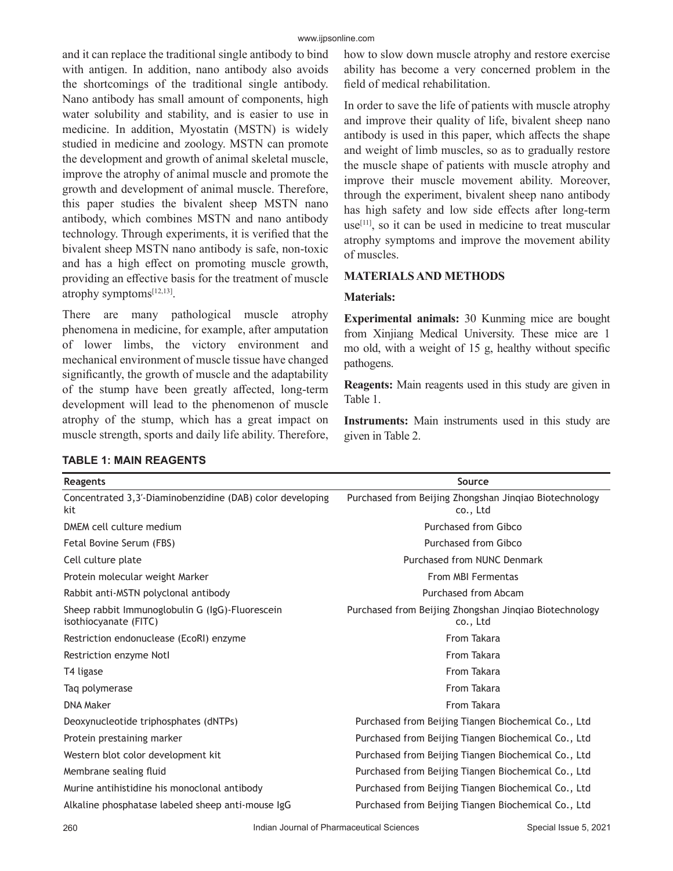and it can replace the traditional single antibody to bind with antigen. In addition, nano antibody also avoids the shortcomings of the traditional single antibody. Nano antibody has small amount of components, high water solubility and stability, and is easier to use in medicine. In addition, Myostatin (MSTN) is widely studied in medicine and zoology. MSTN can promote the development and growth of animal skeletal muscle, improve the atrophy of animal muscle and promote the growth and development of animal muscle. Therefore, this paper studies the bivalent sheep MSTN nano antibody, which combines MSTN and nano antibody technology. Through experiments, it is verified that the bivalent sheep MSTN nano antibody is safe, non-toxic and has a high effect on promoting muscle growth, providing an effective basis for the treatment of muscle atrophy symptoms[12,13].

There are many pathological muscle atrophy phenomena in medicine, for example, after amputation of lower limbs, the victory environment and mechanical environment of muscle tissue have changed significantly, the growth of muscle and the adaptability of the stump have been greatly affected, long-term development will lead to the phenomenon of muscle atrophy of the stump, which has a great impact on muscle strength, sports and daily life ability. Therefore, how to slow down muscle atrophy and restore exercise ability has become a very concerned problem in the field of medical rehabilitation.

In order to save the life of patients with muscle atrophy and improve their quality of life, bivalent sheep nano antibody is used in this paper, which affects the shape and weight of limb muscles, so as to gradually restore the muscle shape of patients with muscle atrophy and improve their muscle movement ability. Moreover, through the experiment, bivalent sheep nano antibody has high safety and low side effects after long-term  $use^{[11]}$ , so it can be used in medicine to treat muscular atrophy symptoms and improve the movement ability of muscles.

## **MATERIALS AND METHODS**

## **Materials:**

**Experimental animals:** 30 Kunming mice are bought from Xinjiang Medical University. These mice are 1 mo old, with a weight of 15 g, healthy without specific pathogens.

**Reagents:** Main reagents used in this study are given in Table 1.

**Instruments:** Main instruments used in this study are given in Table 2.

| <b>Reagents</b>                                                          | Source                                                             |
|--------------------------------------------------------------------------|--------------------------------------------------------------------|
| Concentrated 3,3'-Diaminobenzidine (DAB) color developing<br>kit         | Purchased from Beijing Zhongshan Jinqiao Biotechnology<br>co., Ltd |
| DMEM cell culture medium                                                 | Purchased from Gibco                                               |
| Fetal Bovine Serum (FBS)                                                 | Purchased from Gibco                                               |
| Cell culture plate                                                       | Purchased from NUNC Denmark                                        |
| Protein molecular weight Marker                                          | From MBI Fermentas                                                 |
| Rabbit anti-MSTN polyclonal antibody                                     | Purchased from Abcam                                               |
| Sheep rabbit Immunoglobulin G (IgG)-Fluorescein<br>isothiocyanate (FITC) | Purchased from Beijing Zhongshan Jinqiao Biotechnology<br>co., Ltd |
| Restriction endonuclease (EcoRI) enzyme                                  | From Takara                                                        |
| Restriction enzyme Notl                                                  | From Takara                                                        |
| T4 ligase                                                                | From Takara                                                        |
| Taq polymerase                                                           | From Takara                                                        |
| <b>DNA Maker</b>                                                         | From Takara                                                        |
| Deoxynucleotide triphosphates (dNTPs)                                    | Purchased from Beijing Tiangen Biochemical Co., Ltd                |
| Protein prestaining marker                                               | Purchased from Beijing Tiangen Biochemical Co., Ltd                |
| Western blot color development kit                                       | Purchased from Beijing Tiangen Biochemical Co., Ltd                |
| Membrane sealing fluid                                                   | Purchased from Beijing Tiangen Biochemical Co., Ltd                |
| Murine antihistidine his monoclonal antibody                             | Purchased from Beijing Tiangen Biochemical Co., Ltd                |
| Alkaline phosphatase labeled sheep anti-mouse IgG                        | Purchased from Beijing Tiangen Biochemical Co., Ltd                |

## **TABLE 1: MAIN REAGENTS**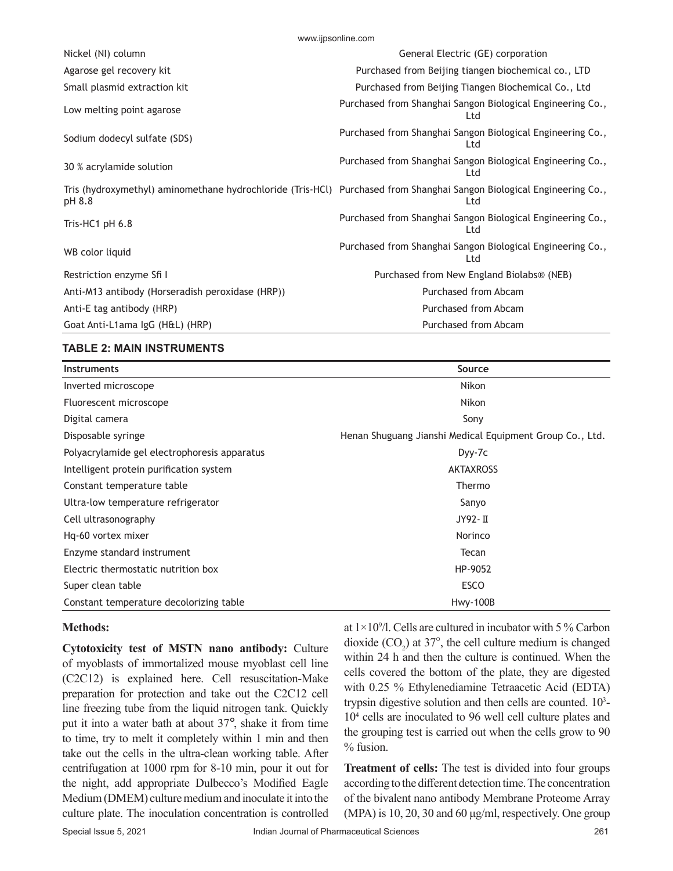| Nickel (NI) column                               | General Electric (GE) corporation                                                                                            |
|--------------------------------------------------|------------------------------------------------------------------------------------------------------------------------------|
| Agarose gel recovery kit                         | Purchased from Beijing tiangen biochemical co., LTD                                                                          |
| Small plasmid extraction kit                     | Purchased from Beijing Tiangen Biochemical Co., Ltd                                                                          |
| Low melting point agarose                        | Purchased from Shanghai Sangon Biological Engineering Co.,<br>Ltd                                                            |
| Sodium dodecyl sulfate (SDS)                     | Purchased from Shanghai Sangon Biological Engineering Co.,<br>Ltd                                                            |
| 30 % acrylamide solution                         | Purchased from Shanghai Sangon Biological Engineering Co.,<br>Ltd                                                            |
| pH 8.8                                           | Tris (hydroxymethyl) aminomethane hydrochloride (Tris-HCl) Purchased from Shanghai Sangon Biological Engineering Co.,<br>Ltd |
| Tris-HC1 pH 6.8                                  | Purchased from Shanghai Sangon Biological Engineering Co.,<br>Ltd                                                            |
| WB color liquid                                  | Purchased from Shanghai Sangon Biological Engineering Co.,<br>Ltd                                                            |
| Restriction enzyme Sfi I                         | Purchased from New England Biolabs® (NEB)                                                                                    |
| Anti-M13 antibody (Horseradish peroxidase (HRP)) | Purchased from Abcam                                                                                                         |
| Anti-E tag antibody (HRP)                        | Purchased from Abcam                                                                                                         |
| Goat Anti-L1ama IgG (H&L) (HRP)                  | Purchased from Abcam                                                                                                         |

#### **TABLE 2: MAIN INSTRUMENTS**

| <b>Instruments</b>                           | Source                                                   |
|----------------------------------------------|----------------------------------------------------------|
| Inverted microscope                          | Nikon                                                    |
| Fluorescent microscope                       | Nikon                                                    |
| Digital camera                               | Sony                                                     |
| Disposable syringe                           | Henan Shuguang Jianshi Medical Equipment Group Co., Ltd. |
| Polyacrylamide gel electrophoresis apparatus | Dyy-7c                                                   |
| Intelligent protein purification system      | <b>AKTAXROSS</b>                                         |
| Constant temperature table                   | Thermo                                                   |
| Ultra-low temperature refrigerator           | Sanyo                                                    |
| Cell ultrasonography                         | $JY92 - II$                                              |
| Hq-60 vortex mixer                           | Norinco                                                  |
| Enzyme standard instrument                   | Tecan                                                    |
| Electric thermostatic nutrition box          | HP-9052                                                  |
| Super clean table                            | <b>ESCO</b>                                              |
| Constant temperature decolorizing table      | <b>Hwy-100B</b>                                          |

#### **Methods:**

**Cytotoxicity test of MSTN nano antibody:** Culture of myoblasts of immortalized mouse myoblast cell line (C2C12) is explained here. Cell resuscitation-Make preparation for protection and take out the C2C12 cell line freezing tube from the liquid nitrogen tank. Quickly put it into a water bath at about 37°, shake it from time to time, try to melt it completely within 1 min and then take out the cells in the ultra-clean working table. After centrifugation at 1000 rpm for 8-10 min, pour it out for the night, add appropriate Dulbecco's Modified Eagle Medium (DMEM) culture medium and inoculate it into the culture plate. The inoculation concentration is controlled

at  $1 \times 10^9$ /l. Cells are cultured in incubator with 5 % Carbon dioxide  $(CO_2)$  at 37°, the cell culture medium is changed within 24 h and then the culture is continued. When the cells covered the bottom of the plate, they are digested with 0.25 % Ethylenediamine Tetraacetic Acid (EDTA) trypsin digestive solution and then cells are counted. 10<sup>3</sup>-104 cells are inoculated to 96 well cell culture plates and the grouping test is carried out when the cells grow to 90 % fusion.

**Treatment of cells:** The test is divided into four groups according to the different detection time. The concentration of the bivalent nano antibody Membrane Proteome Array (MPA) is 10, 20, 30 and 60 μg/ml, respectively. One group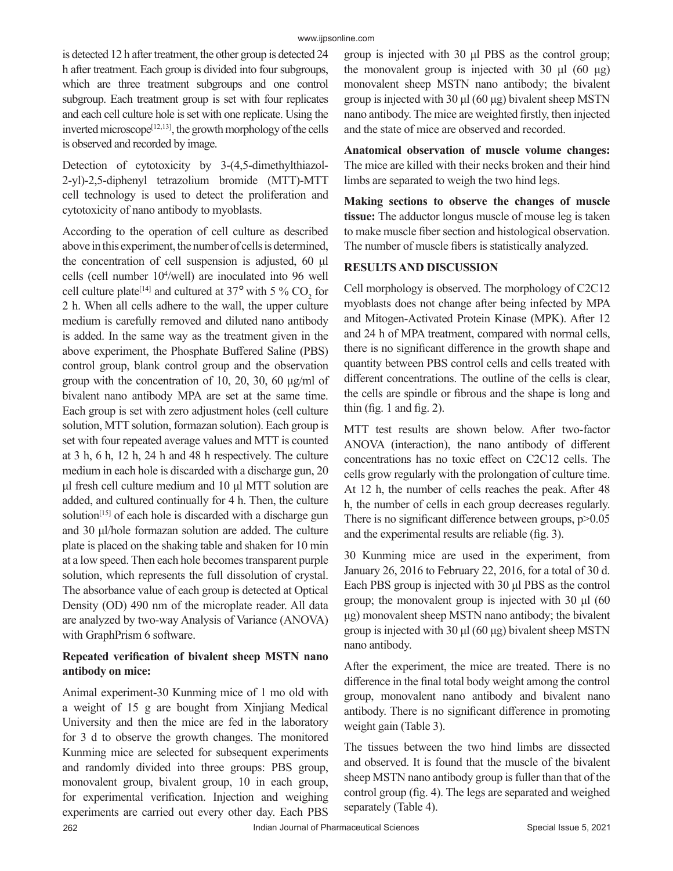is detected 12 h after treatment, the other group is detected 24 h after treatment. Each group is divided into four subgroups, which are three treatment subgroups and one control subgroup. Each treatment group is set with four replicates and each cell culture hole is set with one replicate. Using the inverted microscope $[12,13]$ , the growth morphology of the cells is observed and recorded by image.

Detection of cytotoxicity by 3-(4,5-dimethylthiazol-2-yl)-2,5-diphenyl tetrazolium bromide (MTT)-MTT cell technology is used to detect the proliferation and cytotoxicity of nano antibody to myoblasts.

According to the operation of cell culture as described above in this experiment, the number of cells is determined, the concentration of cell suspension is adjusted, 60 μl cells (cell number 104 /well) are inoculated into 96 well cell culture plate<sup>[14]</sup> and cultured at 37<sup>°</sup> with 5 %  $CO_2$  for 2 h. When all cells adhere to the wall, the upper culture medium is carefully removed and diluted nano antibody is added. In the same way as the treatment given in the above experiment, the Phosphate Buffered Saline (PBS) control group, blank control group and the observation group with the concentration of 10, 20, 30, 60 μg/ml of bivalent nano antibody MPA are set at the same time. Each group is set with zero adjustment holes (cell culture solution, MTT solution, formazan solution). Each group is set with four repeated average values and MTT is counted at 3 h, 6 h, 12 h, 24 h and 48 h respectively. The culture medium in each hole is discarded with a discharge gun, 20 μl fresh cell culture medium and 10 μl MTT solution are added, and cultured continually for 4 h. Then, the culture solution<sup>[15]</sup> of each hole is discarded with a discharge gun and 30 μl/hole formazan solution are added. The culture plate is placed on the shaking table and shaken for 10 min at a low speed. Then each hole becomes transparent purple solution, which represents the full dissolution of crystal. The absorbance value of each group is detected at Optical Density (OD) 490 nm of the microplate reader. All data are analyzed by two-way Analysis of Variance (ANOVA) with GraphPrism 6 software.

# **Repeated verification of bivalent sheep MSTN nano antibody on mice:**

Animal experiment-30 Kunming mice of 1 mo old with a weight of 15 g are bought from Xinjiang Medical University and then the mice are fed in the laboratory for 3 d to observe the growth changes. The monitored Kunming mice are selected for subsequent experiments and randomly divided into three groups: PBS group, monovalent group, bivalent group, 10 in each group, for experimental verification. Injection and weighing experiments are carried out every other day. Each PBS

group is injected with 30 μl PBS as the control group; the monovalent group is injected with 30 μl  $(60 \mu g)$ monovalent sheep MSTN nano antibody; the bivalent group is injected with 30 μl  $(60 \mu g)$  bivalent sheep MSTN nano antibody. The mice are weighted firstly, then injected and the state of mice are observed and recorded.

**Anatomical observation of muscle volume changes:** The mice are killed with their necks broken and their hind limbs are separated to weigh the two hind legs.

**Making sections to observe the changes of muscle tissue:** The adductor longus muscle of mouse leg is taken to make muscle fiber section and histological observation. The number of muscle fibers is statistically analyzed.

# **RESULTS AND DISCUSSION**

Cell morphology is observed. The morphology of C2C12 myoblasts does not change after being infected by MPA and Mitogen-Activated Protein Kinase (MPK). After 12 and 24 h of MPA treatment, compared with normal cells, there is no significant difference in the growth shape and quantity between PBS control cells and cells treated with different concentrations. The outline of the cells is clear, the cells are spindle or fibrous and the shape is long and thin (fig. 1 and fig. 2).

MTT test results are shown below. After two-factor ANOVA (interaction), the nano antibody of different concentrations has no toxic effect on C2C12 cells. The cells grow regularly with the prolongation of culture time. At 12 h, the number of cells reaches the peak. After 48 h, the number of cells in each group decreases regularly. There is no significant difference between groups,  $p > 0.05$ and the experimental results are reliable (fig. 3).

30 Kunming mice are used in the experiment, from January 26, 2016 to February 22, 2016, for a total of 30 d. Each PBS group is injected with 30 μl PBS as the control group; the monovalent group is injected with 30 μl  $(60$ μg) monovalent sheep MSTN nano antibody; the bivalent group is injected with 30 μl  $(60 \mu g)$  bivalent sheep MSTN nano antibody.

After the experiment, the mice are treated. There is no difference in the final total body weight among the control group, monovalent nano antibody and bivalent nano antibody. There is no significant difference in promoting weight gain (Table 3).

The tissues between the two hind limbs are dissected and observed. It is found that the muscle of the bivalent sheep MSTN nano antibody group is fuller than that of the control group (fig. 4). The legs are separated and weighed separately (Table 4).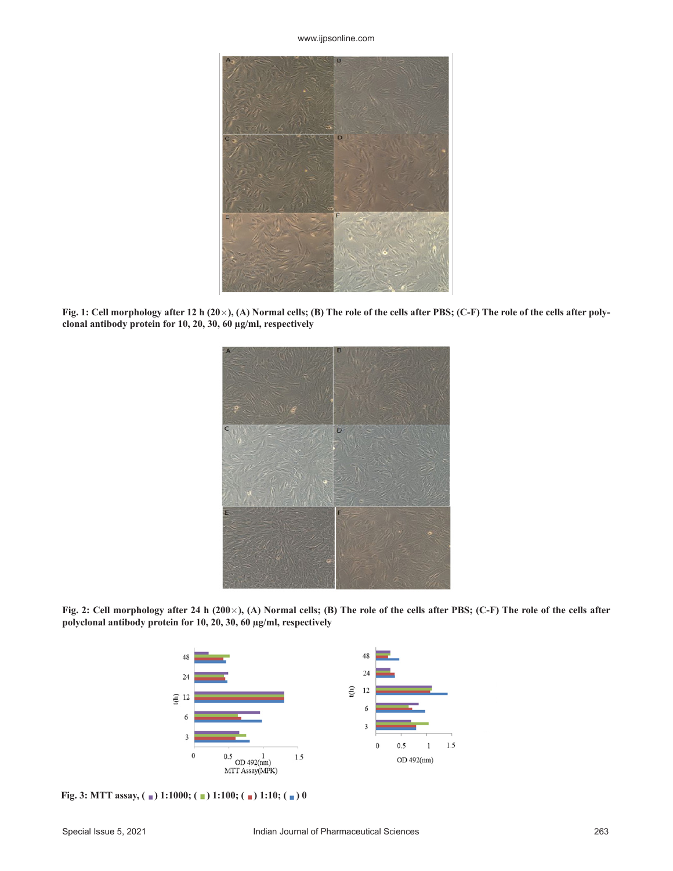www.ijpsonline.com



**Fig. 1: Cell morphology after 12 h (20), (A) Normal cells; (B) The role of the cells after PBS; (C-F) The role of the cells after polyclonal antibody protein for 10, 20, 30, 60 µg/ml, respectively**



**Fig. 2: Cell morphology after 24 h (200), (A) Normal cells; (B) The role of the cells after PBS; (C-F) The role of the cells after polyclonal antibody protein for 10, 20, 30, 60 µg/ml, respectively**



**Fig. 3: MTT assay, (** ) 1:1000; ( ) 1:100; ( ) 1:10; ( ) 0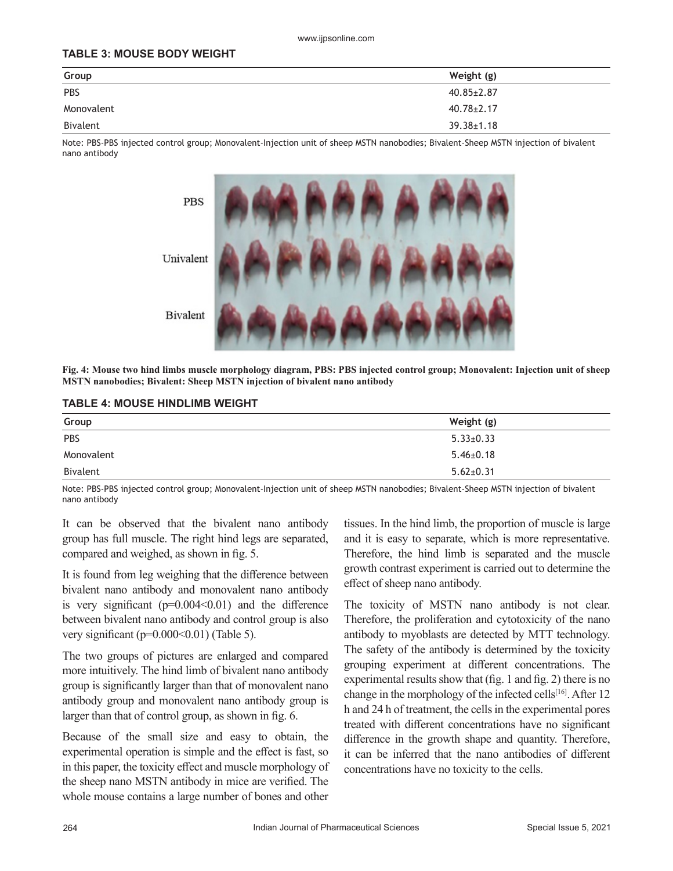## **TABLE 3: MOUSE BODY WEIGHT**

| Group      | Weight (g)       |
|------------|------------------|
| PBS        | $40.85 \pm 2.87$ |
| Monovalent | $40.78 \pm 2.17$ |
| Bivalent   | $39.38 \pm 1.18$ |

Note: PBS-PBS injected control group; Monovalent-Injection unit of sheep MSTN nanobodies; Bivalent-Sheep MSTN injection of bivalent nano antibody



**Fig. 4: Mouse two hind limbs muscle morphology diagram, PBS: PBS injected control group; Monovalent: Injection unit of sheep MSTN nanobodies; Bivalent: Sheep MSTN injection of bivalent nano antibody**

#### **TABLE 4: MOUSE HINDLIMB WEIGHT**

| Group      | Weight (g)      |
|------------|-----------------|
| <b>PBS</b> | $5.33 \pm 0.33$ |
| Monovalent | $5.46 \pm 0.18$ |
| Bivalent   | $5.62 \pm 0.31$ |

Note: PBS-PBS injected control group; Monovalent-Injection unit of sheep MSTN nanobodies; Bivalent-Sheep MSTN injection of bivalent nano antibody

It can be observed that the bivalent nano antibody group has full muscle. The right hind legs are separated, compared and weighed, as shown in fig. 5.

It is found from leg weighing that the difference between bivalent nano antibody and monovalent nano antibody is very significant  $(p=0.004<0.01)$  and the difference between bivalent nano antibody and control group is also very significant ( $p=0.000<0.01$ ) (Table 5).

The two groups of pictures are enlarged and compared more intuitively. The hind limb of bivalent nano antibody group is significantly larger than that of monovalent nano antibody group and monovalent nano antibody group is larger than that of control group, as shown in fig. 6.

Because of the small size and easy to obtain, the experimental operation is simple and the effect is fast, so in this paper, the toxicity effect and muscle morphology of the sheep nano MSTN antibody in mice are verified. The whole mouse contains a large number of bones and other tissues. In the hind limb, the proportion of muscle is large and it is easy to separate, which is more representative. Therefore, the hind limb is separated and the muscle growth contrast experiment is carried out to determine the effect of sheep nano antibody.

The toxicity of MSTN nano antibody is not clear. Therefore, the proliferation and cytotoxicity of the nano antibody to myoblasts are detected by MTT technology. The safety of the antibody is determined by the toxicity grouping experiment at different concentrations. The experimental results show that (fig. 1 and fig. 2) there is no change in the morphology of the infected cells<sup>[16]</sup>. After 12 h and 24 h of treatment, the cells in the experimental pores treated with different concentrations have no significant difference in the growth shape and quantity. Therefore, it can be inferred that the nano antibodies of different concentrations have no toxicity to the cells.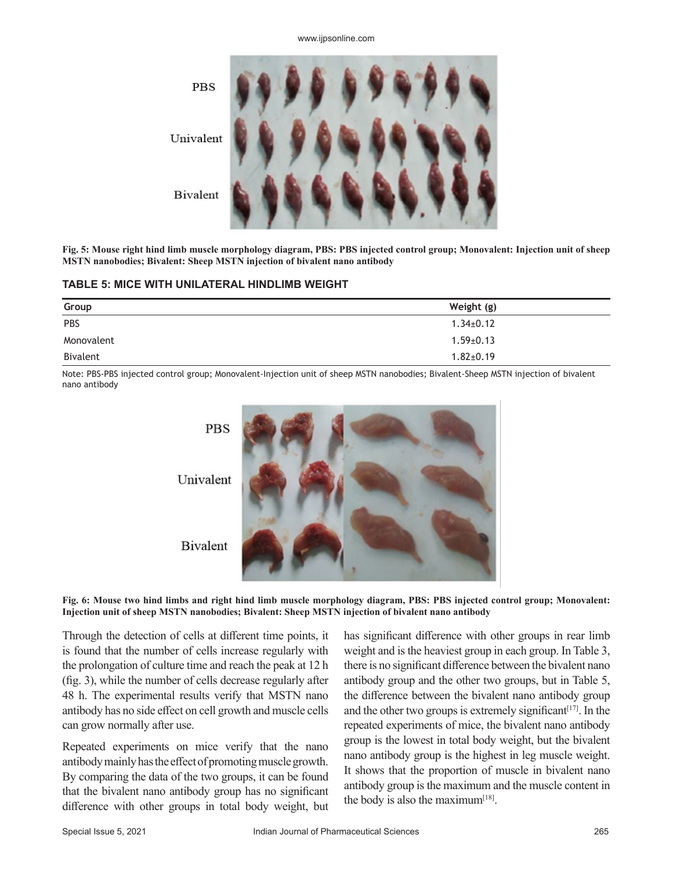#### www.ijpsonline.com



**Fig. 5: Mouse right hind limb muscle morphology diagram, PBS: PBS injected control group; Monovalent: Injection unit of sheep MSTN nanobodies; Bivalent: Sheep MSTN injection of bivalent nano antibody**

#### **TABLE 5: MICE WITH UNILATERAL HINDLIMB WEIGHT**

| Group      | Weight (g)      |
|------------|-----------------|
| PBS        | $1.34 \pm 0.12$ |
| Monovalent | $1.59 \pm 0.13$ |
| Bivalent   | $1.82 \pm 0.19$ |

Note: PBS-PBS injected control group; Monovalent-Injection unit of sheep MSTN nanobodies; Bivalent-Sheep MSTN injection of bivalent nano antibody



#### **Fig. 6: Mouse two hind limbs and right hind limb muscle morphology diagram, PBS: PBS injected control group; Monovalent: Injection unit of sheep MSTN nanobodies; Bivalent: Sheep MSTN injection of bivalent nano antibody**

Through the detection of cells at different time points, it is found that the number of cells increase regularly with the prolongation of culture time and reach the peak at 12 h (fig. 3), while the number of cells decrease regularly after 48 h. The experimental results verify that MSTN nano antibody has no side effect on cell growth and muscle cells can grow normally after use.

Repeated experiments on mice verify that the nano antibody mainly has the effect of promoting muscle growth. By comparing the data of the two groups, it can be found that the bivalent nano antibody group has no significant difference with other groups in total body weight, but has significant difference with other groups in rear limb weight and is the heaviest group in each group. In Table 3, there is no significant difference between the bivalent nano antibody group and the other two groups, but in Table 5, the difference between the bivalent nano antibody group and the other two groups is extremely significant<sup>[17]</sup>. In the repeated experiments of mice, the bivalent nano antibody group is the lowest in total body weight, but the bivalent nano antibody group is the highest in leg muscle weight. It shows that the proportion of muscle in bivalent nano antibody group is the maximum and the muscle content in the body is also the maximum $[18]$ .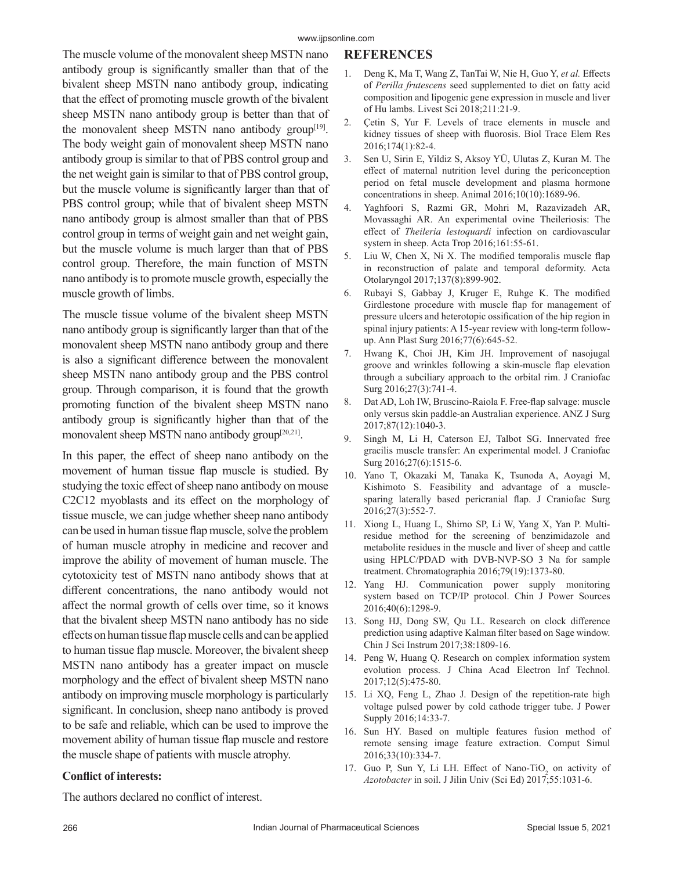The muscle volume of the monovalent sheep MSTN nano antibody group is significantly smaller than that of the bivalent sheep MSTN nano antibody group, indicating that the effect of promoting muscle growth of the bivalent sheep MSTN nano antibody group is better than that of the monovalent sheep MSTN nano antibody group $[19]$ . The body weight gain of monovalent sheep MSTN nano antibody group is similar to that of PBS control group and the net weight gain is similar to that of PBS control group, but the muscle volume is significantly larger than that of PBS control group; while that of bivalent sheep MSTN nano antibody group is almost smaller than that of PBS control group in terms of weight gain and net weight gain, but the muscle volume is much larger than that of PBS control group. Therefore, the main function of MSTN nano antibody is to promote muscle growth, especially the muscle growth of limbs.

The muscle tissue volume of the bivalent sheep MSTN nano antibody group is significantly larger than that of the monovalent sheep MSTN nano antibody group and there is also a significant difference between the monovalent sheep MSTN nano antibody group and the PBS control group. Through comparison, it is found that the growth promoting function of the bivalent sheep MSTN nano antibody group is significantly higher than that of the monovalent sheep MSTN nano antibody group<sup>[20,21]</sup>.

In this paper, the effect of sheep nano antibody on the movement of human tissue flap muscle is studied. By studying the toxic effect of sheep nano antibody on mouse C2C12 myoblasts and its effect on the morphology of tissue muscle, we can judge whether sheep nano antibody can be used in human tissue flap muscle, solve the problem of human muscle atrophy in medicine and recover and improve the ability of movement of human muscle. The cytotoxicity test of MSTN nano antibody shows that at different concentrations, the nano antibody would not affect the normal growth of cells over time, so it knows that the bivalent sheep MSTN nano antibody has no side effects on human tissue flap muscle cells and can be applied to human tissue flap muscle. Moreover, the bivalent sheep MSTN nano antibody has a greater impact on muscle morphology and the effect of bivalent sheep MSTN nano antibody on improving muscle morphology is particularly significant. In conclusion, sheep nano antibody is proved to be safe and reliable, which can be used to improve the movement ability of human tissue flap muscle and restore the muscle shape of patients with muscle atrophy.

### **Conflict of interests:**

The authors declared no conflict of interest.

## **REFERENCES**

- 1. Deng K, Ma T, Wang Z, TanTai W, Nie H, Guo Y, *et al.* Effects of *Perilla frutescens* seed supplemented to diet on fatty acid composition and lipogenic gene expression in muscle and liver of Hu lambs. Livest Sci 2018;211:21-9.
- 2. Çetin S, Yur F. Levels of trace elements in muscle and kidney tissues of sheep with fluorosis. Biol Trace Elem Res 2016;174(1):82-4.
- 3. Sen U, Sirin E, Yildiz S, Aksoy YÜ, Ulutas Z, Kuran M. The effect of maternal nutrition level during the periconception period on fetal muscle development and plasma hormone concentrations in sheep. Animal 2016;10(10):1689-96.
- 4. Yaghfoori S, Razmi GR, Mohri M, Razavizadeh AR, Movassaghi AR. An experimental ovine Theileriosis: The effect of *Theileria lestoquardi* infection on cardiovascular system in sheep. Acta Trop 2016;161:55-61.
- 5. Liu W, Chen X, Ni X. The modified temporalis muscle flap in reconstruction of palate and temporal deformity. Acta Otolaryngol 2017;137(8):899-902.
- 6. Rubayi S, Gabbay J, Kruger E, Ruhge K. The modified Girdlestone procedure with muscle flap for management of pressure ulcers and heterotopic ossification of the hip region in spinal injury patients: A 15-year review with long-term followup. Ann Plast Surg 2016;77(6):645-52.
- 7. Hwang K, Choi JH, Kim JH. Improvement of nasojugal groove and wrinkles following a skin-muscle flap elevation through a subciliary approach to the orbital rim. J Craniofac Surg 2016;27(3):741-4.
- 8. Dat AD, Loh IW, Bruscino‐Raiola F. Free‐flap salvage: muscle only versus skin paddle-an Australian experience. ANZ J Surg 2017;87(12):1040-3.
- 9. Singh M, Li H, Caterson EJ, Talbot SG. Innervated free gracilis muscle transfer: An experimental model. J Craniofac Surg 2016;27(6):1515-6.
- 10. Yano T, Okazaki M, Tanaka K, Tsunoda A, Aoyagi M, Kishimoto S. Feasibility and advantage of a musclesparing laterally based pericranial flap. J Craniofac Surg 2016;27(3):552-7.
- 11. Xiong L, Huang L, Shimo SP, Li W, Yang X, Yan P. Multiresidue method for the screening of benzimidazole and metabolite residues in the muscle and liver of sheep and cattle using HPLC/PDAD with DVB-NVP-SO 3 Na for sample treatment. Chromatographia 2016;79(19):1373-80.
- 12. Yang HJ. Communication power supply monitoring system based on TCP/IP protocol. Chin J Power Sources 2016;40(6):1298-9.
- 13. Song HJ, Dong SW, Qu LL. Research on clock difference prediction using adaptive Kalman filter based on Sage window. Chin J Sci Instrum 2017;38:1809-16.
- 14. Peng W, Huang Q. Research on complex information system evolution process. J China Acad Electron Inf Technol. 2017;12(5):475-80.
- 15. Li XQ, Feng L, Zhao J. Design of the repetition-rate high voltage pulsed power by cold cathode trigger tube. J Power Supply 2016;14:33-7.
- 16. Sun HY. Based on multiple features fusion method of remote sensing image feature extraction. Comput Simul 2016;33(10):334-7.
- 17. Guo P, Sun Y, Li LH. Effect of Nano-TiO<sub>2</sub> on activity of *Azotobacter* in soil. J Jilin Univ (Sci Ed) 2017;55:1031-6.